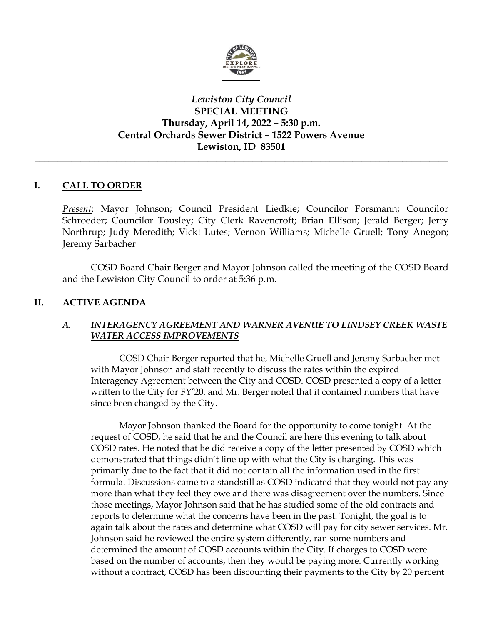

# *Lewiston City Council* **SPECIAL MEETING Thursday, April 14, 2022 – 5:30 p.m. Central Orchards Sewer District – 1522 Powers Avenue Lewiston, ID 83501**

*\_\_\_\_\_\_\_\_\_\_\_\_\_\_\_\_\_\_\_\_\_\_\_\_\_\_\_\_\_\_\_\_\_\_\_\_\_\_\_\_\_\_\_\_\_\_\_\_\_\_\_\_\_\_\_\_\_\_\_\_\_\_\_\_\_\_\_\_\_\_\_\_\_\_\_\_\_\_\_\_\_\_\_\_\_\_\_\_\_\_\_*

## **I. CALL TO ORDER**

*Present*: Mayor Johnson; Council President Liedkie; Councilor Forsmann; Councilor Schroeder; Councilor Tousley; City Clerk Ravencroft; Brian Ellison; Jerald Berger; Jerry Northrup; Judy Meredith; Vicki Lutes; Vernon Williams; Michelle Gruell; Tony Anegon; Jeremy Sarbacher

COSD Board Chair Berger and Mayor Johnson called the meeting of the COSD Board and the Lewiston City Council to order at 5:36 p.m.

## **II. ACTIVE AGENDA**

### *A. INTERAGENCY AGREEMENT AND WARNER AVENUE TO LINDSEY CREEK WASTE WATER ACCESS IMPROVEMENTS*

COSD Chair Berger reported that he, Michelle Gruell and Jeremy Sarbacher met with Mayor Johnson and staff recently to discuss the rates within the expired Interagency Agreement between the City and COSD. COSD presented a copy of a letter written to the City for FY'20, and Mr. Berger noted that it contained numbers that have since been changed by the City.

Mayor Johnson thanked the Board for the opportunity to come tonight. At the request of COSD, he said that he and the Council are here this evening to talk about COSD rates. He noted that he did receive a copy of the letter presented by COSD which demonstrated that things didn't line up with what the City is charging. This was primarily due to the fact that it did not contain all the information used in the first formula. Discussions came to a standstill as COSD indicated that they would not pay any more than what they feel they owe and there was disagreement over the numbers. Since those meetings, Mayor Johnson said that he has studied some of the old contracts and reports to determine what the concerns have been in the past. Tonight, the goal is to again talk about the rates and determine what COSD will pay for city sewer services. Mr. Johnson said he reviewed the entire system differently, ran some numbers and determined the amount of COSD accounts within the City. If charges to COSD were based on the number of accounts, then they would be paying more. Currently working without a contract, COSD has been discounting their payments to the City by 20 percent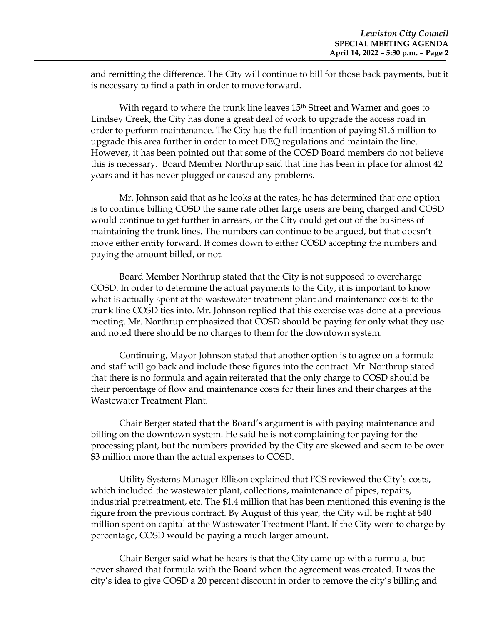and remitting the difference. The City will continue to bill for those back payments, but it is necessary to find a path in order to move forward.

With regard to where the trunk line leaves 15<sup>th</sup> Street and Warner and goes to Lindsey Creek, the City has done a great deal of work to upgrade the access road in order to perform maintenance. The City has the full intention of paying \$1.6 million to upgrade this area further in order to meet DEQ regulations and maintain the line. However, it has been pointed out that some of the COSD Board members do not believe this is necessary. Board Member Northrup said that line has been in place for almost 42 years and it has never plugged or caused any problems.

Mr. Johnson said that as he looks at the rates, he has determined that one option is to continue billing COSD the same rate other large users are being charged and COSD would continue to get further in arrears, or the City could get out of the business of maintaining the trunk lines. The numbers can continue to be argued, but that doesn't move either entity forward. It comes down to either COSD accepting the numbers and paying the amount billed, or not.

Board Member Northrup stated that the City is not supposed to overcharge COSD. In order to determine the actual payments to the City, it is important to know what is actually spent at the wastewater treatment plant and maintenance costs to the trunk line COSD ties into. Mr. Johnson replied that this exercise was done at a previous meeting. Mr. Northrup emphasized that COSD should be paying for only what they use and noted there should be no charges to them for the downtown system.

Continuing, Mayor Johnson stated that another option is to agree on a formula and staff will go back and include those figures into the contract. Mr. Northrup stated that there is no formula and again reiterated that the only charge to COSD should be their percentage of flow and maintenance costs for their lines and their charges at the Wastewater Treatment Plant.

Chair Berger stated that the Board's argument is with paying maintenance and billing on the downtown system. He said he is not complaining for paying for the processing plant, but the numbers provided by the City are skewed and seem to be over \$3 million more than the actual expenses to COSD.

Utility Systems Manager Ellison explained that FCS reviewed the City's costs, which included the wastewater plant, collections, maintenance of pipes, repairs, industrial pretreatment, etc. The \$1.4 million that has been mentioned this evening is the figure from the previous contract. By August of this year, the City will be right at \$40 million spent on capital at the Wastewater Treatment Plant. If the City were to charge by percentage, COSD would be paying a much larger amount.

Chair Berger said what he hears is that the City came up with a formula, but never shared that formula with the Board when the agreement was created. It was the city's idea to give COSD a 20 percent discount in order to remove the city's billing and